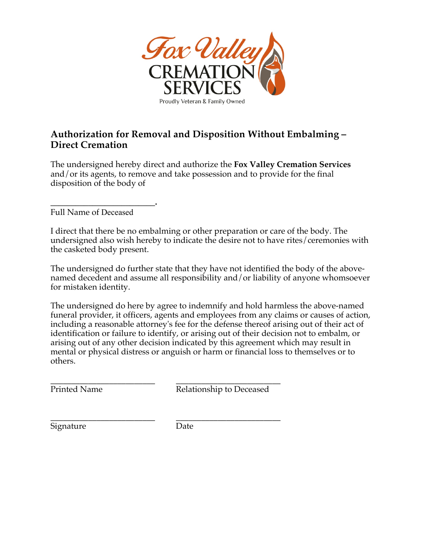

## **Authorization for Removal and Disposition Without Embalming – Direct Cremation**

The undersigned hereby direct and authorize the **Fox Valley Cremation Services**  and/or its agents, to remove and take possession and to provide for the final disposition of the body of

**\_\_\_\_\_\_\_\_\_\_\_\_\_\_\_\_\_\_\_\_\_\_\_\_\_.**  Full Name of Deceased

I direct that there be no embalming or other preparation or care of the body. The undersigned also wish hereby to indicate the desire not to have rites/ceremonies with the casketed body present.

The undersigned do further state that they have not identified the body of the abovenamed decedent and assume all responsibility and/or liability of anyone whomsoever for mistaken identity.

The undersigned do here by agree to indemnify and hold harmless the above-named funeral provider, it officers, agents and employees from any claims or causes of action, including a reasonable attorney's fee for the defense thereof arising out of their act of identification or failure to identify, or arising out of their decision not to embalm, or arising out of any other decision indicated by this agreement which may result in mental or physical distress or anguish or harm or financial loss to themselves or to others.

\_\_\_\_\_\_\_\_\_\_\_\_\_\_\_\_\_\_\_\_\_\_\_\_\_ \_\_\_\_\_\_\_\_\_\_\_\_\_\_\_\_\_\_\_\_\_\_\_\_\_ Printed Name Relationship to Deceased

\_\_\_\_\_\_\_\_\_\_\_\_\_\_\_\_\_\_\_\_\_\_\_\_\_ \_\_\_\_\_\_\_\_\_\_\_\_\_\_\_\_\_\_\_\_\_\_\_\_\_ Signature Date